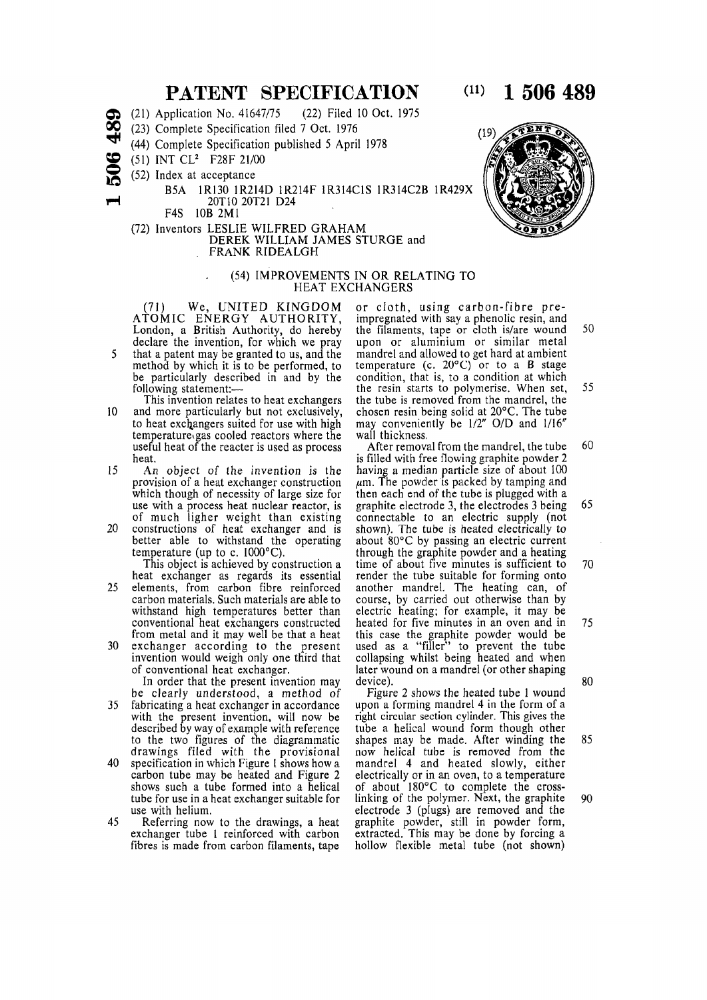## **PATENT SPECIFICATION**

- $\sum_{i=1}^{\infty}$  (21) Application No. 4164///5 (22) Filed 10 Oct. 1975
- **2S** (23) Complete Specification filed 7 Oct. 1976
- $\sim$  (44) Complete Specification published 5 April 1978
	- INT CL<sup>2</sup> F28F 21/00
- $\sum_{i=1}^{5}$  (51) IN Index at acceptance

**8**

- B5A 1R130 1R214D 1R214F 1R314C1S 1R314C2B 1R429X 20T10 20T21 D24
- F4S 10B 2M1
- (/2) Inventors LESLIE WILFRED GRAHAM DEREK WILLIAM JAMES STURGE and FRANK RIDEALGH

## (54) IMPROVEMENTS IN OR RELATING TO HEAT EXCHANGERS

(71) WE, UNITED KINGDOM ATOMIC ENERGY AUTHORITY, London, a British Authority, do hereby declare the invention, for which we pray 5 that a patent may be granted to us, and the method by which it is to be performed, to be particularly described in and by the following statement:-

- This invention relates to heat exchangers 10 and more particularly but not exclusively, to heat exchangers suited for use with high temperature gas cooled reactors where the useful heat of the reacter is used as process heat.
- 15 An object of the invention is the provision of a heat exchanger construction which though of necessity of large size for use with a process heat nuclear reactor, is of much ligher weight than existing
- 20 constructions of heat exchanger and is better able to withstand the operating temperature (up to c.  $1000^{\circ}$ C).
- This object is achieved by construction a heat exchanger as regards its essential 25 elements, from carbon fibre reinforced carbon materials. Such materials are able to withstand high temperatures better than conventional heat exchangers constructed from metal and it may well be that a heat
- 30 exchanger according to the present invention would weigh only one third that of conventional heat exchanger.

In order that the present invention may be clearly understood, a method of

- 35 fabricating a heat exchanger in accordance with the present invention, will now be described by way of example with reference to the two figures of the diagrammatic drawings filed with the provisional
- 40 specification in which Figure 1 shows how a carbon tube may be heated and Figure 2 shows such a tube formed into a helical tube for use in a heat exchanger suitable for use with helium.
- 45 Referring now to the drawings, a heat exchanger tube 1 reinforced with carbon fibres is made from carbon filaments, tape

or cloth, using carbon-fibre preimpregnated with say a phenolic resin, and the filaments, tape or cloth is/are wound 50 upon or aluminium or similar metal mandrel and allowed to get hard at ambient temperature (c.  $20^{\circ}$ C) or to a B stage condition, that is, to a condition at which the resin starts to polymerise. When set, 55 the tube is removed from the mandrel, the chosen resin being solid at 20°C. The tube may conveniently be  $1/2''$  O/D and  $1/16''$ wall thickness.

After removal from the mandrel, the tube  $60$ is filled with free flowing graphite powder 2 having a median particle size of about 100  $\mu$ m. The powder is packed by tamping and then each end of the tube is plugged with a graphite electrode 3, the electrodes  $3$  being 65 connectable to an electric supply (not shown). The tube is heated electrically to about  $80^{\circ}$ C by passing an electric current through the graphite powder and a heating time of about five minutes is sufficient to  $70$ render the tube suitable for forming onto another mandrel The heating can of course by carried out otherwise than by electric heating; for example, it may be heated for five minutes in an oven and in  $75$ this case the graphite powder would be used as a "filler" to prevent the tube collapsing whilst being heated and when r compenige research competition and competitive  $d$ ovice) . 8 00

Figure 2 shows the heated tube 1 wound upon a forming mandrel 4 in the form of a right circular section cylinder. This gives the tube a helical wound form though other shapes may be made. After winding the 85 now helical tube is removed from the mandrel 4 and heated slowly, either electrically or in an oven, to a temperature of about  $180^{\circ}$ C to complete the crosslinking of the polymer. Next, the graphite  $90$ electrode 3 (plugs) are removed and the graphite powder still in powder form extracted . This may be done by forcing a hollow flexible metal tube (not shown)





## $(11)$  1 506 489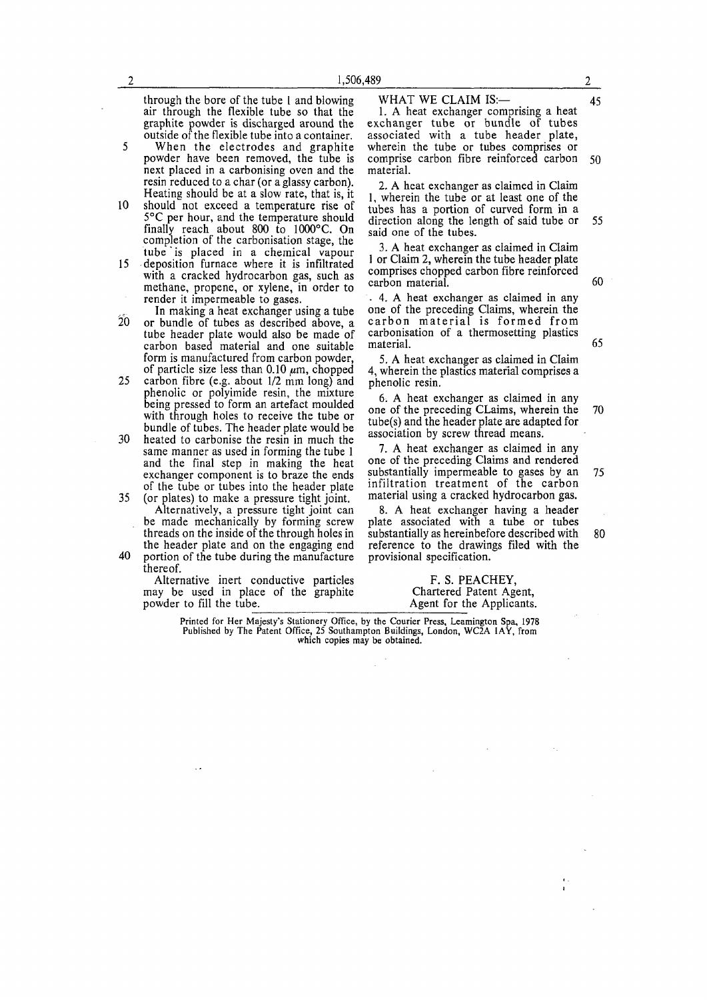through the bore of the tube 1 and blowing air through the flexible tube so that the graphite powder is discharged around the outside of the flexible tube into a container.

- 5 When the electrodes and graphite powder have been removed, the tube is next placed in a carbonising oven and the resin reduced to a char (or a glassy carbon). Heating should be at a slow rate, that is, it
- 10 should not exceed a temperature rise of 5°C per hour, and the temperature should finally reach about 800 to  $1000^{\circ}$ C. On completion of the carbonisation stage, the tube is placed in a chemical vapour
- 15 deposition furnace where it is infiltrated with a cracked hydrocarbon gas, such as methane, propene, or xylene, in order to render it impermeable to gases.
- In making a heat exchanger using a tube  $20$  or bundle of tubes as described above, a tube header plate would also be made of carbon based material and one suitable form is manufactured from carbon powder, of particle size less than 0.10  $\mu$ m, chopped
- 25 carbon fibre (e.g. about  $1/2$  mm long) and phenolic or polyimide resin, the mixture being pressed to form an artefact moulded with through holes to receive the tube or bundle of tubes. The header plate would be
- 30 heated to carbonise the resin in much the same manner as used in forming the tube 1 and the final step in making the heat exchanger component is to braze the ends of the tube or tubes into the header plate
- 35 (or plates) to make a pressure tight joint. Alternatively, a pressure tight joint can be made mechanically by forming screw threads on the inside of the through holes in the header plate and on the engaging end
- 40 portion of the tube during the manufacture thereof.

Alternative inert conductive particles may be used in place of the graphite powder to fill the tube.

## WHAT WE CLAIM IS: 45

1. A heat exchanger comprising a heat exchanger tube or bundle of tubes associated with a tube header plate, wherein the tube or tubes comprises or comprise carbon fibre reinforced carbon  $50$ material.

2. A heat exchanger as claimed in Claim 1, wherein the tube or at least one of the tubes has a portion of curved form in a direction along the length of said tube or 55 said one of the tubes.

3. A heat exchanger as claimed in Claim 1 or Claim 2, wherein the tube header plate comprises chopped carbon fibre reinforced carbon material. 60

. 4. A heat exchanger as claimed in any one of the preceding Claims, wherein the carbon material is formed from carbonisation of a thermosetting plastics material.

5. A heat exchanger as claimed in Claim 4, wherein the plastics material comprises a phenolic resin.

6. A heat exchanger as claimed in any one of the preceding CLaims, wherein the  $tube(s)$  and the header plate are adapted for association by screw thread means. 70

7. A heat exchanger as claimed in any one of the preceding Claims and rendered substantially impermeable to gases by an infiltration treatment of the carbon material using a cracked hydrocarbon gas. 75

8. A heat exchanger having a header plate associated with a tube or tubes substantially as hereinbefore described with reference to the drawings filed with the provisional specification.

> F. S. PEACHEY, Chartered Patent Agent, Agent for the Applicants.

**Printed for Her Majesty's Stationery Office, by the Courier Press, Leamington Spa, 1978 Published by The Patent Office, 25 Southampton Buildings, London, WC2A 1AY, from which copies may be obtained.** 

7'

65

80